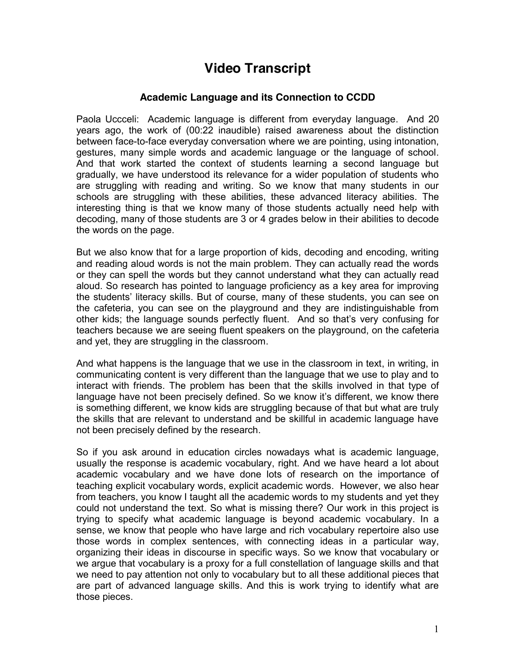## **Video Transcript**

## **Academic Language and its Connection to CCDD**

Paola Uccceli: Academic language is different from everyday language. And 20 years ago, the work of (00:22 inaudible) raised awareness about the distinction between face-to-face everyday conversation where we are pointing, using intonation, gestures, many simple words and academic language or the language of school. And that work started the context of students learning a second language but gradually, we have understood its relevance for a wider population of students who are struggling with reading and writing. So we know that many students in our schools are struggling with these abilities, these advanced literacy abilities. The interesting thing is that we know many of those students actually need help with decoding, many of those students are 3 or 4 grades below in their abilities to decode the words on the page.

But we also know that for a large proportion of kids, decoding and encoding, writing and reading aloud words is not the main problem. They can actually read the words or they can spell the words but they cannot understand what they can actually read aloud. So research has pointed to language proficiency as a key area for improving the students' literacy skills. But of course, many of these students, you can see on the cafeteria, you can see on the playground and they are indistinguishable from other kids; the language sounds perfectly fluent. And so that's very confusing for teachers because we are seeing fluent speakers on the playground, on the cafeteria and yet, they are struggling in the classroom.

And what happens is the language that we use in the classroom in text, in writing, in communicating content is very different than the language that we use to play and to interact with friends. The problem has been that the skills involved in that type of language have not been precisely defined. So we know it's different, we know there is something different, we know kids are struggling because of that but what are truly the skills that are relevant to understand and be skillful in academic language have not been precisely defined by the research.

So if you ask around in education circles nowadays what is academic language, usually the response is academic vocabulary, right. And we have heard a lot about academic vocabulary and we have done lots of research on the importance of teaching explicit vocabulary words, explicit academic words. However, we also hear from teachers, you know I taught all the academic words to my students and yet they could not understand the text. So what is missing there? Our work in this project is trying to specify what academic language is beyond academic vocabulary. In a sense, we know that people who have large and rich vocabulary repertoire also use those words in complex sentences, with connecting ideas in a particular way, organizing their ideas in discourse in specific ways. So we know that vocabulary or we argue that vocabulary is a proxy for a full constellation of language skills and that we need to pay attention not only to vocabulary but to all these additional pieces that are part of advanced language skills. And this is work trying to identify what are those pieces.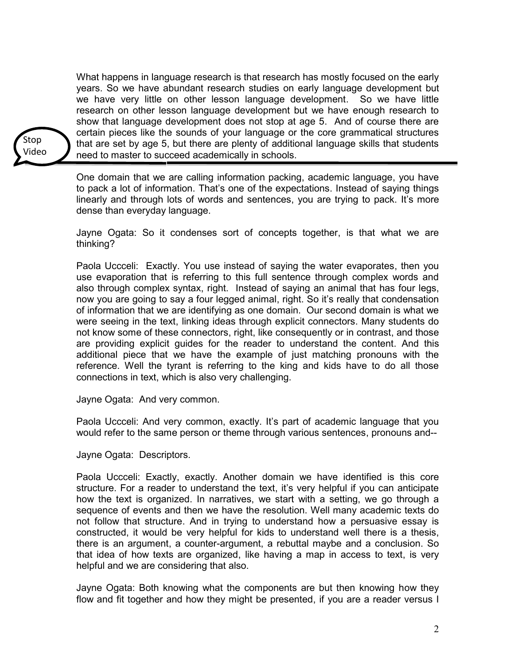What happens in language research is that research has mostly focused on the early years. So we have abundant research studies on early language development but we have very little on other lesson language development. So we have little research on other lesson language development but we have enough research to show that language development does not stop at age 5. And of course there are certain pieces like the sounds of your language or the core grammatical structures that are set by age 5, but there are plenty of additional language skills that students need to master to succeed academically in schools.

Stop Video

> One domain that we are calling information packing, academic language, you have to pack a lot of information. That's one of the expectations. Instead of saying things linearly and through lots of words and sentences, you are trying to pack. It's more dense than everyday language.

> Jayne Ogata: So it condenses sort of concepts together, is that what we are thinking?

> Paola Uccceli: Exactly. You use instead of saying the water evaporates, then you use evaporation that is referring to this full sentence through complex words and also through complex syntax, right. Instead of saying an animal that has four legs, now you are going to say a four legged animal, right. So it's really that condensation of information that we are identifying as one domain. Our second domain is what we were seeing in the text, linking ideas through explicit connectors. Many students do not know some of these connectors, right, like consequently or in contrast, and those are providing explicit guides for the reader to understand the content. And this additional piece that we have the example of just matching pronouns with the reference. Well the tyrant is referring to the king and kids have to do all those connections in text, which is also very challenging.

Jayne Ogata: And very common.

Paola Uccceli: And very common, exactly. It's part of academic language that you would refer to the same person or theme through various sentences, pronouns and--

Jayne Ogata: Descriptors.

Paola Uccceli: Exactly, exactly. Another domain we have identified is this core structure. For a reader to understand the text, it's very helpful if you can anticipate how the text is organized. In narratives, we start with a setting, we go through a sequence of events and then we have the resolution. Well many academic texts do not follow that structure. And in trying to understand how a persuasive essay is constructed, it would be very helpful for kids to understand well there is a thesis, there is an argument, a counter-argument, a rebuttal maybe and a conclusion. So that idea of how texts are organized, like having a map in access to text, is very helpful and we are considering that also.

Jayne Ogata: Both knowing what the components are but then knowing how they flow and fit together and how they might be presented, if you are a reader versus I